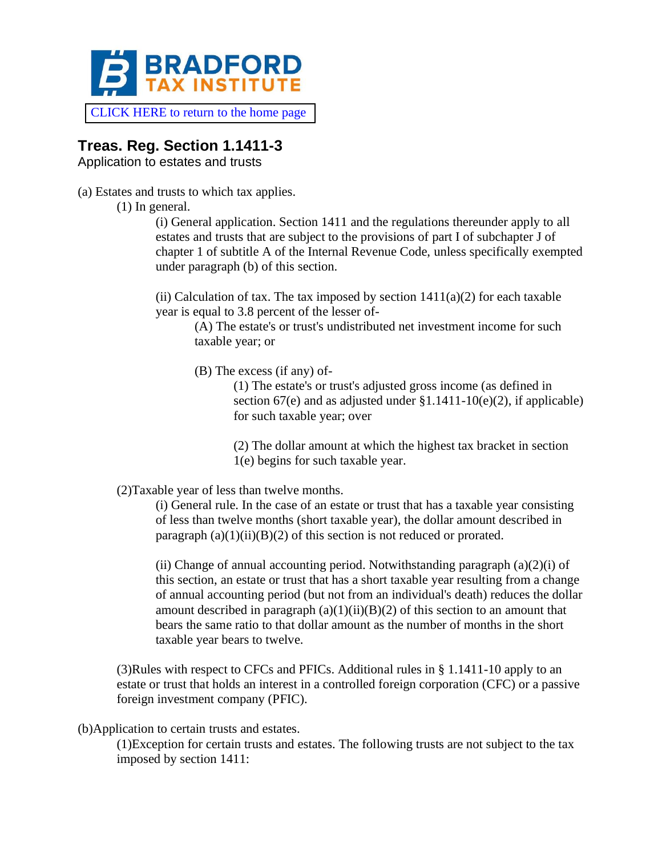

[CLICK HERE to return to the home page](https://www.bradfordtaxinstitute.com)

## **Treas. Reg. Section 1.1411-3**

Application to estates and trusts

(a) Estates and trusts to which tax applies.

(1) In general.

(i) General application. Section 1411 and the regulations thereunder apply to all estates and trusts that are subject to the provisions of part I of subchapter J of chapter 1 of subtitle A of the Internal Revenue Code, unless specifically exempted under paragraph (b) of this section.

(ii) Calculation of tax. The tax imposed by section  $1411(a)(2)$  for each taxable year is equal to 3.8 percent of the lesser of-

(A) The estate's or trust's undistributed net investment income for such taxable year; or

(B) The excess (if any) of-

(1) The estate's or trust's adjusted gross income (as defined in section  $67(e)$  and as adjusted under  $$1.1411-10(e)(2)$ , if applicable) for such taxable year; over

(2) The dollar amount at which the highest tax bracket in section 1(e) begins for such taxable year.

(2)Taxable year of less than twelve months.

(i) General rule. In the case of an estate or trust that has a taxable year consisting of less than twelve months (short taxable year), the dollar amount described in paragraph  $(a)(1)(ii)(B)(2)$  of this section is not reduced or prorated.

(ii) Change of annual accounting period. Notwithstanding paragraph  $(a)(2)(i)$  of this section, an estate or trust that has a short taxable year resulting from a change of annual accounting period (but not from an individual's death) reduces the dollar amount described in paragraph  $(a)(1)(ii)(B)(2)$  of this section to an amount that bears the same ratio to that dollar amount as the number of months in the short taxable year bears to twelve.

(3)Rules with respect to CFCs and PFICs. Additional rules in § 1.1411-10 apply to an estate or trust that holds an interest in a controlled foreign corporation (CFC) or a passive foreign investment company (PFIC).

(b)Application to certain trusts and estates.

(1)Exception for certain trusts and estates. The following trusts are not subject to the tax imposed by section 1411: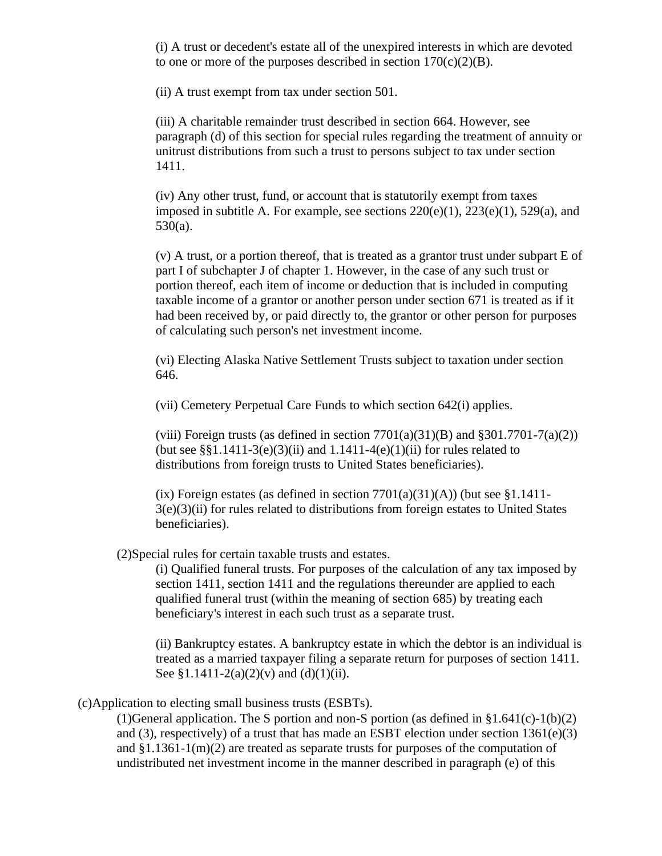(i) A trust or decedent's estate all of the unexpired interests in which are devoted to one or more of the purposes described in section  $170(c)(2)(B)$ .

(ii) A trust exempt from tax under section 501.

(iii) A charitable remainder trust described in section 664. However, see paragraph (d) of this section for special rules regarding the treatment of annuity or unitrust distributions from such a trust to persons subject to tax under section 1411.

(iv) Any other trust, fund, or account that is statutorily exempt from taxes imposed in subtitle A. For example, see sections  $220(e)(1)$ ,  $223(e)(1)$ ,  $529(a)$ , and 530(a).

(v) A trust, or a portion thereof, that is treated as a grantor trust under subpart E of part I of subchapter J of chapter 1. However, in the case of any such trust or portion thereof, each item of income or deduction that is included in computing taxable income of a grantor or another person under section 671 is treated as if it had been received by, or paid directly to, the grantor or other person for purposes of calculating such person's net investment income.

(vi) Electing Alaska Native Settlement Trusts subject to taxation under section 646.

(vii) Cemetery Perpetual Care Funds to which section 642(i) applies.

(viii) Foreign trusts (as defined in section  $7701(a)(31)(B)$  and  $8301.7701-7(a)(2)$ ) (but see  $\S$ §1.1411-3(e)(3)(ii) and 1.1411-4(e)(1)(ii) for rules related to distributions from foreign trusts to United States beneficiaries).

(ix) Foreign estates (as defined in section  $7701(a)(31)(A)$ ) (but see §1.1411- $3(e)(3)(ii)$  for rules related to distributions from foreign estates to United States beneficiaries).

(2)Special rules for certain taxable trusts and estates.

(i) Qualified funeral trusts. For purposes of the calculation of any tax imposed by section 1411, section 1411 and the regulations thereunder are applied to each qualified funeral trust (within the meaning of section 685) by treating each beneficiary's interest in each such trust as a separate trust.

(ii) Bankruptcy estates. A bankruptcy estate in which the debtor is an individual is treated as a married taxpayer filing a separate return for purposes of section 1411. See §1.1411-2(a)(2)(v) and (d)(1)(ii).

(c)Application to electing small business trusts (ESBTs).

(1)General application. The S portion and non-S portion (as defined in  $\S1.641(c) - 1(b)(2)$ and (3), respectively) of a trust that has made an ESBT election under section  $1361(e)(3)$ and §1.1361-1(m)(2) are treated as separate trusts for purposes of the computation of undistributed net investment income in the manner described in paragraph (e) of this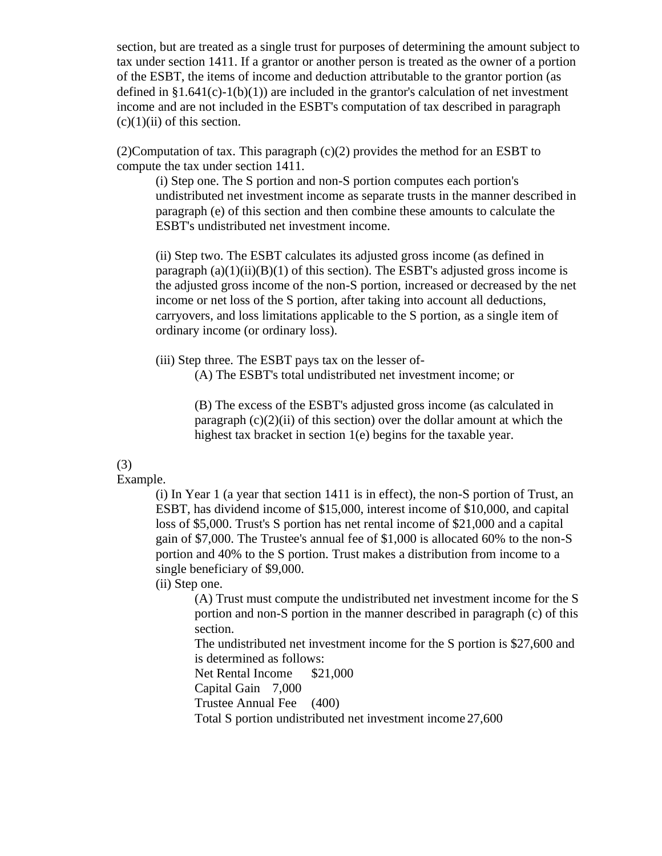section, but are treated as a single trust for purposes of determining the amount subject to tax under section 1411. If a grantor or another person is treated as the owner of a portion of the ESBT, the items of income and deduction attributable to the grantor portion (as defined in  $\S1.641(c)-1(b)(1)$  are included in the grantor's calculation of net investment income and are not included in the ESBT's computation of tax described in paragraph  $(c)(1)(ii)$  of this section.

 $(2)$ Computation of tax. This paragraph  $(c)(2)$  provides the method for an ESBT to compute the tax under section 1411.

(i) Step one. The S portion and non-S portion computes each portion's undistributed net investment income as separate trusts in the manner described in paragraph (e) of this section and then combine these amounts to calculate the ESBT's undistributed net investment income.

(ii) Step two. The ESBT calculates its adjusted gross income (as defined in paragraph  $(a)(1)(ii)(B)(1)$  of this section). The ESBT's adjusted gross income is the adjusted gross income of the non-S portion, increased or decreased by the net income or net loss of the S portion, after taking into account all deductions, carryovers, and loss limitations applicable to the S portion, as a single item of ordinary income (or ordinary loss).

(iii) Step three. The ESBT pays tax on the lesser of-

(A) The ESBT's total undistributed net investment income; or

(B) The excess of the ESBT's adjusted gross income (as calculated in paragraph  $(c)(2)(ii)$  of this section) over the dollar amount at which the highest tax bracket in section 1(e) begins for the taxable year.

## (3)

## Example.

(i) In Year 1 (a year that section 1411 is in effect), the non-S portion of Trust, an ESBT, has dividend income of \$15,000, interest income of \$10,000, and capital loss of \$5,000. Trust's S portion has net rental income of \$21,000 and a capital gain of \$7,000. The Trustee's annual fee of \$1,000 is allocated 60% to the non-S portion and 40% to the S portion. Trust makes a distribution from income to a single beneficiary of \$9,000.

(ii) Step one.

(A) Trust must compute the undistributed net investment income for the S portion and non-S portion in the manner described in paragraph (c) of this section.

The undistributed net investment income for the S portion is \$27,600 and is determined as follows:

Net Rental Income \$21,000

Capital Gain 7,000

Trustee Annual Fee (400)

Total S portion undistributed net investment income 27,600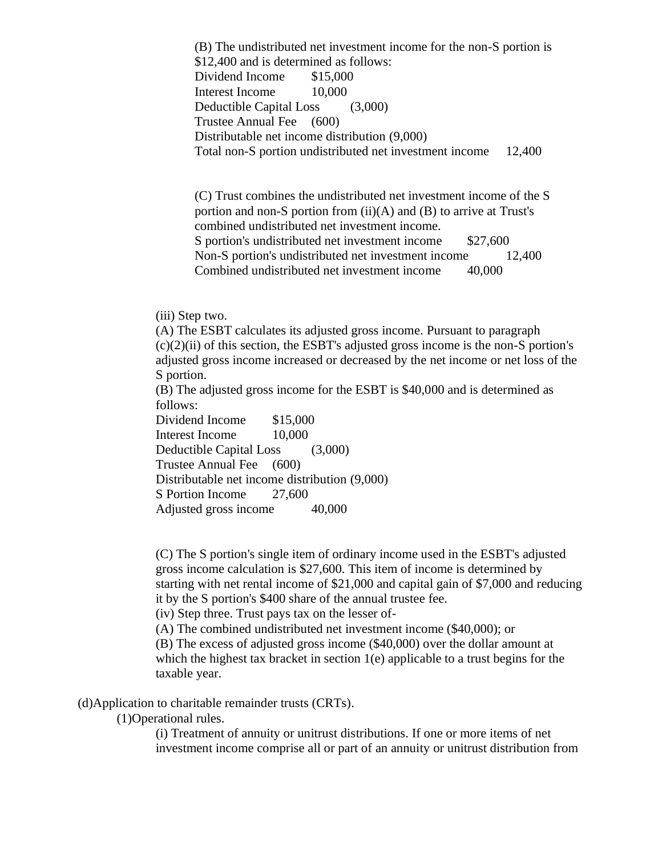(B) The undistributed net investment income for the non-S portion is \$12,400 and is determined as follows: Dividend Income \$15,000 Interest Income 10,000 Deductible Capital Loss (3,000) Trustee Annual Fee (600) Distributable net income distribution (9,000) Total non-S portion undistributed net investment income 12,400

(C) Trust combines the undistributed net investment income of the S portion and non-S portion from (ii)(A) and (B) to arrive at Trust's combined undistributed net investment income. S portion's undistributed net investment income \$27,600 Non-S portion's undistributed net investment income 12,400 Combined undistributed net investment income 40,000

(iii) Step two.

(A) The ESBT calculates its adjusted gross income. Pursuant to paragraph  $(c)(2)(ii)$  of this section, the ESBT's adjusted gross income is the non-S portion's adjusted gross income increased or decreased by the net income or net loss of the S portion.

(B) The adjusted gross income for the ESBT is \$40,000 and is determined as follows:

Dividend Income \$15,000 Interest Income 10,000 Deductible Capital Loss (3,000) Trustee Annual Fee (600) Distributable net income distribution (9,000) S Portion Income 27,600 Adjusted gross income 40,000

(C) The S portion's single item of ordinary income used in the ESBT's adjusted gross income calculation is \$27,600. This item of income is determined by starting with net rental income of \$21,000 and capital gain of \$7,000 and reducing it by the S portion's \$400 share of the annual trustee fee.

(iv) Step three. Trust pays tax on the lesser of-

(A) The combined undistributed net investment income (\$40,000); or

(B) The excess of adjusted gross income (\$40,000) over the dollar amount at which the highest tax bracket in section  $1(e)$  applicable to a trust begins for the taxable year.

(d)Application to charitable remainder trusts (CRTs).

(1)Operational rules.

(i) Treatment of annuity or unitrust distributions. If one or more items of net investment income comprise all or part of an annuity or unitrust distribution from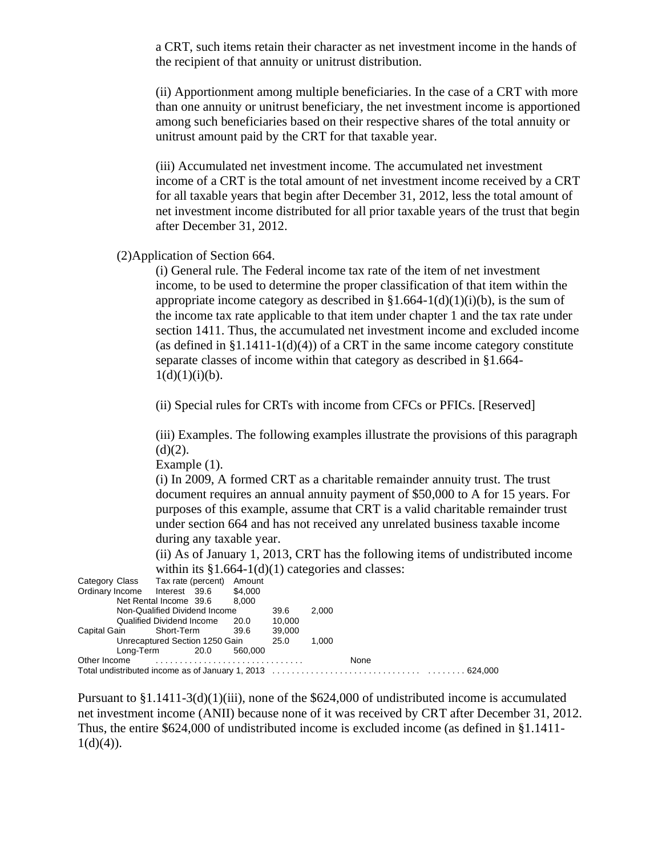a CRT, such items retain their character as net investment income in the hands of the recipient of that annuity or unitrust distribution.

(ii) Apportionment among multiple beneficiaries. In the case of a CRT with more than one annuity or unitrust beneficiary, the net investment income is apportioned among such beneficiaries based on their respective shares of the total annuity or unitrust amount paid by the CRT for that taxable year.

(iii) Accumulated net investment income. The accumulated net investment income of a CRT is the total amount of net investment income received by a CRT for all taxable years that begin after December 31, 2012, less the total amount of net investment income distributed for all prior taxable years of the trust that begin after December 31, 2012.

(2)Application of Section 664.

(i) General rule. The Federal income tax rate of the item of net investment income, to be used to determine the proper classification of that item within the appropriate income category as described in  $\S1.664-1(d)(1)(i)(b)$ , is the sum of the income tax rate applicable to that item under chapter 1 and the tax rate under section 1411. Thus, the accumulated net investment income and excluded income (as defined in  $\S1.1411-1(d)(4)$ ) of a CRT in the same income category constitute separate classes of income within that category as described in §1.664-  $1(d)(1)(i)(b)$ .

(ii) Special rules for CRTs with income from CFCs or PFICs. [Reserved]

(iii) Examples. The following examples illustrate the provisions of this paragraph  $(d)(2)$ .

Example (1).

(i) In 2009, A formed CRT as a charitable remainder annuity trust. The trust document requires an annual annuity payment of \$50,000 to A for 15 years. For purposes of this example, assume that CRT is a valid charitable remainder trust under section 664 and has not received any unrelated business taxable income during any taxable year.

(ii) As of January 1, 2013, CRT has the following items of undistributed income within its  $$1.664-1(d)(1)$  categories and classes:

|                                | Category Class Tax rate (percent) | Amount  |        |  |  |  |  |  |
|--------------------------------|-----------------------------------|---------|--------|--|--|--|--|--|
|                                | Ordinary Income Interest 39.6     | \$4.000 |        |  |  |  |  |  |
|                                | Net Rental Income 39.6 8,000      |         |        |  |  |  |  |  |
| Non-Qualified Dividend Income  | 39.6                              | 2.000   |        |  |  |  |  |  |
|                                | Qualified Dividend Income         | 20.0    | 10.000 |  |  |  |  |  |
| Capital Gain Short-Term        |                                   | - 39.6  | 39,000 |  |  |  |  |  |
| Unrecaptured Section 1250 Gain | 25.0                              | 1.000   |        |  |  |  |  |  |
|                                | Long-Term 20.0                    | 560,000 |        |  |  |  |  |  |
| Other Income                   |                                   |         | None   |  |  |  |  |  |
|                                |                                   |         |        |  |  |  |  |  |

Pursuant to  $\S1.1411-3(d)(1)(iii)$ , none of the \$624,000 of undistributed income is accumulated net investment income (ANII) because none of it was received by CRT after December 31, 2012. Thus, the entire \$624,000 of undistributed income is excluded income (as defined in §1.1411-  $1(d)(4)$ ).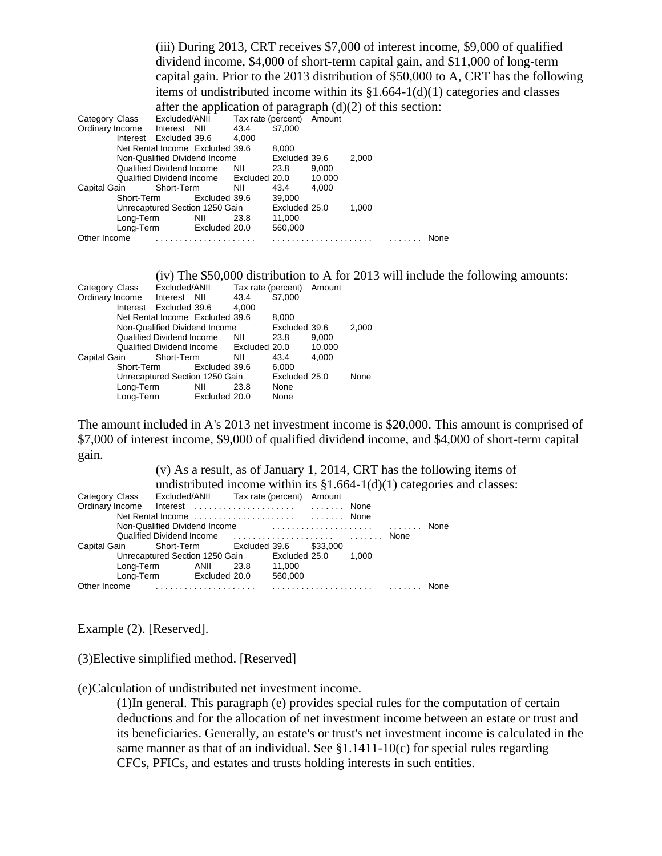|                 |                                  |               |                           |        | (iii) During 2013, CRT receives \$7,000 of interest income, \$9,000 of qualified     |
|-----------------|----------------------------------|---------------|---------------------------|--------|--------------------------------------------------------------------------------------|
|                 |                                  |               |                           |        | dividend income, \$4,000 of short-term capital gain, and \$11,000 of long-term       |
|                 |                                  |               |                           |        | capital gain. Prior to the 2013 distribution of \$50,000 to A, CRT has the following |
|                 |                                  |               |                           |        | items of undistributed income within its $\S1.664-1(d)(1)$ categories and classes    |
|                 |                                  |               |                           |        | after the application of paragraph $(d)(2)$ of this section:                         |
| Category Class  | Excluded/ANII                    |               | Tax rate (percent) Amount |        |                                                                                      |
| Ordinary Income | Interest NII                     | 43.4          | \$7,000                   |        |                                                                                      |
| Interest        | Excluded 39.6                    | 4,000         |                           |        |                                                                                      |
|                 | Net Rental Income Excluded 39.6  |               | 8,000                     |        |                                                                                      |
|                 | Non-Qualified Dividend Income    |               | Excluded 39.6             |        | 2,000                                                                                |
|                 | Qualified Dividend Income        | <b>NII</b>    | 23.8                      | 9,000  |                                                                                      |
|                 | Qualified Dividend Income        | Excluded 20.0 |                           | 10,000 |                                                                                      |
| Capital Gain    | Short-Term                       | NII           | 43.4                      | 4,000  |                                                                                      |
| Short-Term      | Excluded 39.6                    |               | 39,000                    |        |                                                                                      |
|                 | Unrecaptured Section 1250 Gain   |               | Excluded 25.0             |        | 1,000                                                                                |
| Long-Term       | NII                              | 23.8          | 11,000                    |        |                                                                                      |
|                 | Long-Term Excluded 20.0          |               | 560,000                   |        |                                                                                      |
| Other Income    |                                  |               |                           |        | None                                                                                 |
|                 |                                  |               |                           |        |                                                                                      |
|                 |                                  |               |                           |        |                                                                                      |
|                 |                                  |               |                           |        | (iv) The $$50,000$ distribution to A for 2013 will include the following amounts:    |
| Category Class  | Excluded/ANII                    |               | Tax rate (percent) Amount |        |                                                                                      |
| Ordinary Income | Interest NII                     | 43.4          | \$7,000                   |        |                                                                                      |
| Interest        | Excluded 39.6                    | 4,000         |                           |        |                                                                                      |
|                 | Net Rental Income Excluded 39.6  |               | 8,000                     |        |                                                                                      |
|                 | Non-Qualified Dividend Income    |               | Excluded 39.6             |        | 2,000                                                                                |
|                 | Qualified Dividend Income        | <b>NII</b>    | 23.8                      | 9,000  |                                                                                      |
|                 | <b>Qualified Dividend Income</b> | Excluded 20.0 |                           | 10,000 |                                                                                      |
| Capital Gain    | Short-Term                       | NII           | 43.4                      | 4,000  |                                                                                      |
| Short-Term      | Excluded 39.6                    |               | 6,000                     |        |                                                                                      |
|                 | Unrecaptured Section 1250 Gain   |               | Excluded 25.0             |        | None                                                                                 |
| Long-Term       | NII                              | 23.8          | None                      |        |                                                                                      |
| Long-Term       | Excluded 20.0                    |               | None                      |        |                                                                                      |

The amount included in A's 2013 net investment income is \$20,000. This amount is comprised of \$7,000 of interest income, \$9,000 of qualified dividend income, and \$4,000 of short-term capital gain.

(v) As a result, as of January 1, 2014, CRT has the following items of undistributed income within its  $§1.664-1(d)(1)$  categories and classes: Category Class Excluded/ANII Tax rate (percent) Amount Ordinary Income Interest . . . . . . . . . . . . . . . . . . . . . . . . . . . . None Net Rental Income . . . . . . . . . . . . . . . . . . . . . . . . . . . . None Non-Qualified Dividend Income . . . . . . . . . . . . . . . . . . . . . . . . . . . . None Qualified Dividend Income . . . . . . . . . . . . . . . . . . . . . . . . . . . . None Capital Gain Short-Term Excluded 39.6 \$33,000 Unrecaptured Section 1250 Gain Excluded 25.0 1,000<br>
Long-Term ANII 23.8 11.000 Long-Term ANII 23.8 11,000 Long-Term Excluded 20.0 560,000 Other Income . . . . . . . . . . . . . . . . . . . . . . . . . . . . . . . . . . . . . . . . . . . . . . . . . None

Example (2). [Reserved].

(3)Elective simplified method. [Reserved]

(e)Calculation of undistributed net investment income.

(1)In general. This paragraph (e) provides special rules for the computation of certain deductions and for the allocation of net investment income between an estate or trust and its beneficiaries. Generally, an estate's or trust's net investment income is calculated in the same manner as that of an individual. See  $\S1.1411-10(c)$  for special rules regarding CFCs, PFICs, and estates and trusts holding interests in such entities.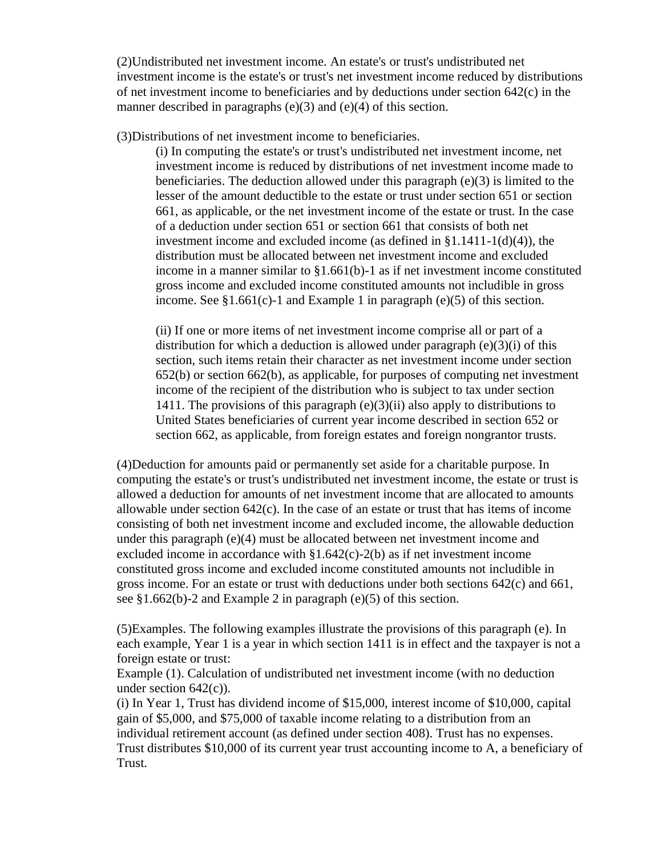(2)Undistributed net investment income. An estate's or trust's undistributed net investment income is the estate's or trust's net investment income reduced by distributions of net investment income to beneficiaries and by deductions under section 642(c) in the manner described in paragraphs (e)(3) and (e)(4) of this section.

(3)Distributions of net investment income to beneficiaries.

(i) In computing the estate's or trust's undistributed net investment income, net investment income is reduced by distributions of net investment income made to beneficiaries. The deduction allowed under this paragraph (e)(3) is limited to the lesser of the amount deductible to the estate or trust under section 651 or section 661, as applicable, or the net investment income of the estate or trust. In the case of a deduction under section 651 or section 661 that consists of both net investment income and excluded income (as defined in §1.1411-1(d)(4)), the distribution must be allocated between net investment income and excluded income in a manner similar to  $\S1.661(b)$ -1 as if net investment income constituted gross income and excluded income constituted amounts not includible in gross income. See  $$1.661(c)-1$  and Example 1 in paragraph (e)(5) of this section.

(ii) If one or more items of net investment income comprise all or part of a distribution for which a deduction is allowed under paragraph  $(e)(3)(i)$  of this section, such items retain their character as net investment income under section 652(b) or section 662(b), as applicable, for purposes of computing net investment income of the recipient of the distribution who is subject to tax under section 1411. The provisions of this paragraph  $(e)(3)(ii)$  also apply to distributions to United States beneficiaries of current year income described in section 652 or section 662, as applicable, from foreign estates and foreign nongrantor trusts.

(4)Deduction for amounts paid or permanently set aside for a charitable purpose. In computing the estate's or trust's undistributed net investment income, the estate or trust is allowed a deduction for amounts of net investment income that are allocated to amounts allowable under section  $642(c)$ . In the case of an estate or trust that has items of income consisting of both net investment income and excluded income, the allowable deduction under this paragraph (e)(4) must be allocated between net investment income and excluded income in accordance with §1.642(c)-2(b) as if net investment income constituted gross income and excluded income constituted amounts not includible in gross income. For an estate or trust with deductions under both sections 642(c) and 661, see §1.662(b)-2 and Example 2 in paragraph (e)(5) of this section.

(5)Examples. The following examples illustrate the provisions of this paragraph (e). In each example, Year 1 is a year in which section 1411 is in effect and the taxpayer is not a foreign estate or trust:

Example (1). Calculation of undistributed net investment income (with no deduction under section  $642(c)$ ).

(i) In Year 1, Trust has dividend income of \$15,000, interest income of \$10,000, capital gain of \$5,000, and \$75,000 of taxable income relating to a distribution from an individual retirement account (as defined under section 408). Trust has no expenses. Trust distributes \$10,000 of its current year trust accounting income to A, a beneficiary of Trust.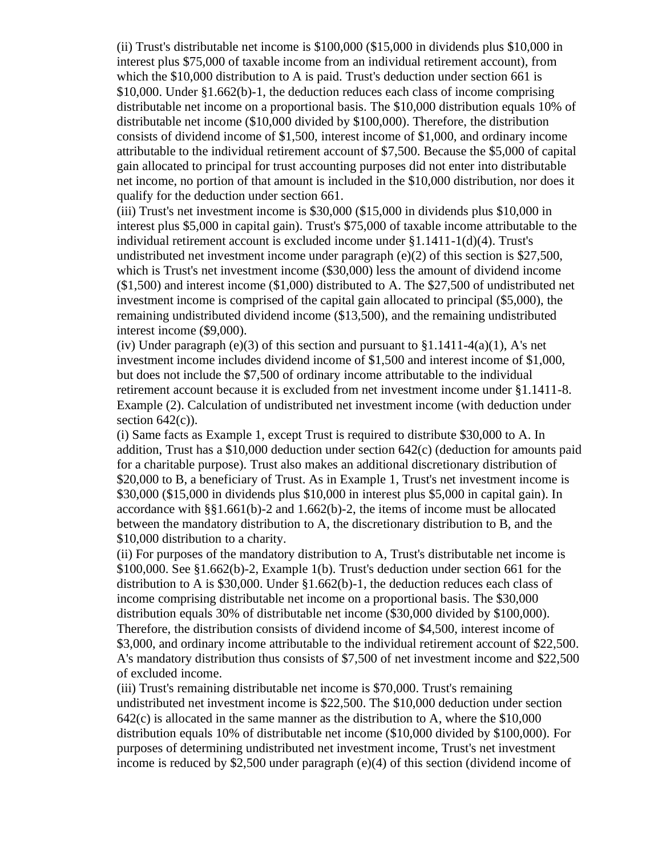(ii) Trust's distributable net income is \$100,000 (\$15,000 in dividends plus \$10,000 in interest plus \$75,000 of taxable income from an individual retirement account), from which the \$10,000 distribution to A is paid. Trust's deduction under section 661 is \$10,000. Under §1.662(b)-1, the deduction reduces each class of income comprising distributable net income on a proportional basis. The \$10,000 distribution equals 10% of distributable net income (\$10,000 divided by \$100,000). Therefore, the distribution consists of dividend income of \$1,500, interest income of \$1,000, and ordinary income attributable to the individual retirement account of \$7,500. Because the \$5,000 of capital gain allocated to principal for trust accounting purposes did not enter into distributable net income, no portion of that amount is included in the \$10,000 distribution, nor does it qualify for the deduction under section 661.

(iii) Trust's net investment income is \$30,000 (\$15,000 in dividends plus \$10,000 in interest plus \$5,000 in capital gain). Trust's \$75,000 of taxable income attributable to the individual retirement account is excluded income under §1.1411-1(d)(4). Trust's undistributed net investment income under paragraph (e)(2) of this section is \$27,500, which is Trust's net investment income (\$30,000) less the amount of dividend income (\$1,500) and interest income (\$1,000) distributed to A. The \$27,500 of undistributed net investment income is comprised of the capital gain allocated to principal (\$5,000), the remaining undistributed dividend income (\$13,500), and the remaining undistributed interest income (\$9,000).

(iv) Under paragraph (e)(3) of this section and pursuant to  $\S1.1411-4(a)(1)$ , A's net investment income includes dividend income of \$1,500 and interest income of \$1,000, but does not include the \$7,500 of ordinary income attributable to the individual retirement account because it is excluded from net investment income under §1.1411-8. Example (2). Calculation of undistributed net investment income (with deduction under section  $642(c)$ ).

(i) Same facts as Example 1, except Trust is required to distribute \$30,000 to A. In addition, Trust has a \$10,000 deduction under section 642(c) (deduction for amounts paid for a charitable purpose). Trust also makes an additional discretionary distribution of \$20,000 to B, a beneficiary of Trust. As in Example 1, Trust's net investment income is \$30,000 (\$15,000 in dividends plus \$10,000 in interest plus \$5,000 in capital gain). In accordance with §§1.661(b)-2 and 1.662(b)-2, the items of income must be allocated between the mandatory distribution to A, the discretionary distribution to B, and the \$10,000 distribution to a charity.

(ii) For purposes of the mandatory distribution to A, Trust's distributable net income is  $$100,000$ . See  $$1.662(b)-2$ , Example 1(b). Trust's deduction under section 661 for the distribution to A is \$30,000. Under §1.662(b)-1, the deduction reduces each class of income comprising distributable net income on a proportional basis. The \$30,000 distribution equals 30% of distributable net income (\$30,000 divided by \$100,000). Therefore, the distribution consists of dividend income of \$4,500, interest income of \$3,000, and ordinary income attributable to the individual retirement account of \$22,500. A's mandatory distribution thus consists of \$7,500 of net investment income and \$22,500 of excluded income.

(iii) Trust's remaining distributable net income is \$70,000. Trust's remaining undistributed net investment income is \$22,500. The \$10,000 deduction under section 642(c) is allocated in the same manner as the distribution to A, where the \$10,000 distribution equals 10% of distributable net income (\$10,000 divided by \$100,000). For purposes of determining undistributed net investment income, Trust's net investment income is reduced by \$2,500 under paragraph (e)(4) of this section (dividend income of